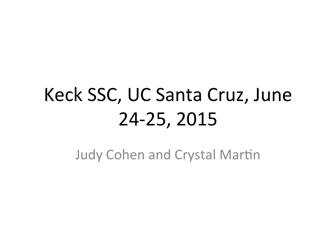# Keck SSC, UC Santa Cruz, June 24-25, 2015

**Judy Cohen and Crystal Martin**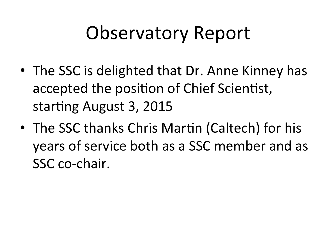### Observatory Report

- The SSC is delighted that Dr. Anne Kinney has accepted the position of Chief Scientist, starting August 3, 2015
- The SSC thanks Chris Martin (Caltech) for his years of service both as a SSC member and as SSC co-chair.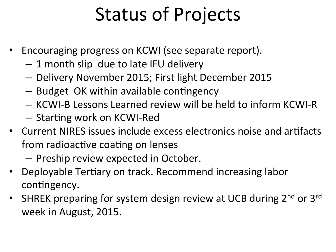# Status of Projects

- Encouraging progress on KCWI (see separate report).
	- $-1$  month slip due to late IFU delivery
	- Delivery November 2015; First light December 2015
	- $-$  Budget OK within available contingency
	- KCWI-B Lessons Learned review will be held to inform KCWI-R
	- $-$  Starting work on KCWI-Red
- Current NIRES issues include excess electronics noise and artifacts from radioactive coating on lenses
	- $-$  Preship review expected in October.
- Deployable Tertiary on track. Recommend increasing labor contingency.
- SHREK preparing for system design review at UCB during  $2^{nd}$  or  $3^{rd}$ week in August, 2015.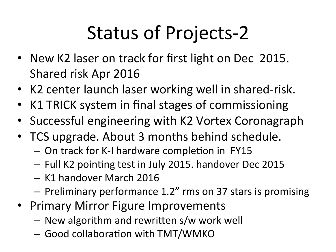# Status of Projects-2

- New K2 laser on track for first light on Dec 2015. Shared risk Apr 2016
- K2 center launch laser working well in shared-risk.
- K1 TRICK system in final stages of commissioning
- Successful engineering with K2 Vortex Coronagraph
- TCS upgrade. About 3 months behind schedule.
	- On track for K-I hardware completion in FY15
	- Full K2 pointing test in July 2015. handover Dec 2015
	- K1 handover March 2016
	- $-$  Preliminary performance 1.2" rms on 37 stars is promising
- Primary Mirror Figure Improvements
	- $-$  New algorithm and rewritten s/w work well
	- $-$  Good collaboration with TMT/WMKO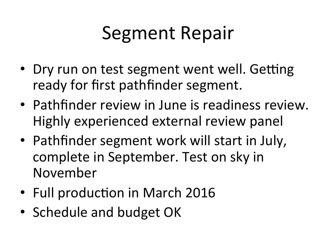### Segment Repair

- Dry run on test segment went well. Getting ready for first pathfinder segment.
- Pathfinder review in June is readiness review. Highly experienced external review panel
- Pathfinder segment work will start in July, complete in September. Test on sky in November
- Full production in March 2016
- Schedule and budget OK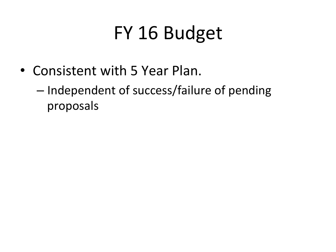# FY 16 Budget

- Consistent with 5 Year Plan.
	- Independent of success/failure of pending proposals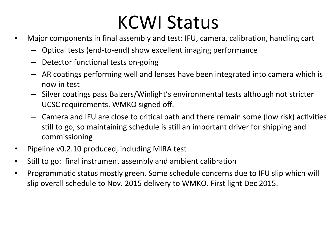### **KCWI Status**

- Major components in final assembly and test: IFU, camera, calibration, handling cart
	- $-$  Optical tests (end-to-end) show excellent imaging performance
	- $-$  Detector functional tests on-going
	- $-$  AR coatings performing well and lenses have been integrated into camera which is now in test
	- $-$  Silver coatings pass Balzers/Winlight's environmental tests although not stricter UCSC requirements. WMKO signed off.
	- $-$  Camera and IFU are close to critical path and there remain some (low risk) activities still to go, so maintaining schedule is still an important driver for shipping and commissioning
- Pipeline v0.2.10 produced, including MIRA test
- Still to go: final instrument assembly and ambient calibration
- Programmatic status mostly green. Some schedule concerns due to IFU slip which will slip overall schedule to Nov. 2015 delivery to WMKO. First light Dec 2015.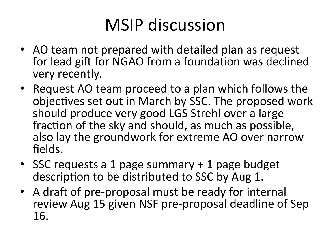### MSIP discussion

- AO team not prepared with detailed plan as request for lead gift for NGAO from a foundation was declined very recently.
- Request AO team proceed to a plan which follows the objectives set out in March by SSC. The proposed work should produce very good LGS Strehl over a large fraction of the sky and should, as much as possible, also lay the groundwork for extreme AO over narrow fields.
- SSC requests a 1 page summary + 1 page budget description to be distributed to SSC by Aug 1.
- A draft of pre-proposal must be ready for internal review Aug 15 given NSF pre-proposal deadline of Sep 16.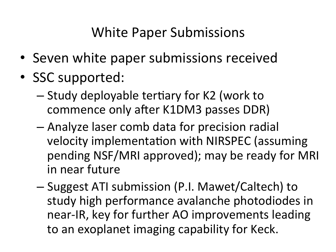### White Paper Submissions

- Seven white paper submissions received
- SSC supported:
	- $-$  Study deployable tertiary for K2 (work to commence only after K1DM3 passes DDR)
	- $-$  Analyze laser comb data for precision radial velocity implementation with NIRSPEC (assuming pending NSF/MRI approved); may be ready for MRI in near future
	- Suggest ATI submission (P.I. Mawet/Caltech) to study high performance avalanche photodiodes in near-IR, key for further AO improvements leading to an exoplanet imaging capability for Keck.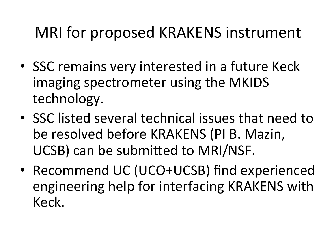### MRI for proposed KRAKENS instrument

- SSC remains very interested in a future Keck imaging spectrometer using the MKIDS technology.
- SSC listed several technical issues that need to be resolved before KRAKENS (PI B. Mazin, UCSB) can be submitted to MRI/NSF.
- Recommend UC (UCO+UCSB) find experienced engineering help for interfacing KRAKENS with Keck.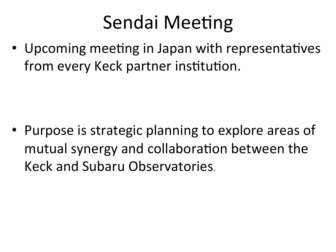# Sendai Meeting

• Upcoming meeting in Japan with representatives from every Keck partner institution.

• Purpose is strategic planning to explore areas of mutual synergy and collaboration between the Keck and Subaru Observatories.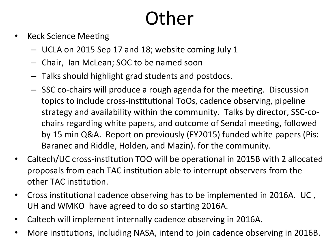# **Other**

- Keck Science Meeting
	- UCLA on 2015 Sep 17 and 18; website coming July 1
	- $-$  Chair, Ian McLean; SOC to be named soon
	- $-$  Talks should highlight grad students and postdocs.
	- $-$  SSC co-chairs will produce a rough agenda for the meeting. Discussion topics to include cross-institutional ToOs, cadence observing, pipeline strategy and availability within the community. Talks by director, SSC-cochairs regarding white papers, and outcome of Sendai meeting, followed by 15 min Q&A. Report on previously (FY2015) funded white papers (Pis: Baranec and Riddle, Holden, and Mazin). for the community.
- Caltech/UC cross-institution TOO will be operational in 2015B with 2 allocated proposals from each TAC institution able to interrupt observers from the other TAC institution.
- Cross institutional cadence observing has to be implemented in 2016A. UC, UH and WMKO have agreed to do so starting 2016A.
- Caltech will implement internally cadence observing in 2016A.
- More institutions, including NASA, intend to join cadence observing in 2016B.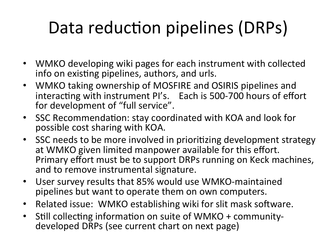### Data reduction pipelines (DRPs)

- WMKO developing wiki pages for each instrument with collected info on existing pipelines, authors, and urls.
- WMKO taking ownership of MOSFIRE and OSIRIS pipelines and interacting with instrument PI's. Each is 500-700 hours of effort for development of "full service".
- SSC Recommendation: stay coordinated with KOA and look for possible cost sharing with KOA.
- SSC needs to be more involved in prioritizing development strategy at WMKO given limited manpower available for this effort. Primary effort must be to support DRPs running on Keck machines, and to remove instrumental signature.
- User survey results that 85% would use WMKO-maintained pipelines but want to operate them on own computers.
- Related issue: WMKO establishing wiki for slit mask software.
- Still collecting information on suite of WMKO + communitydeveloped DRPs (see current chart on next page)